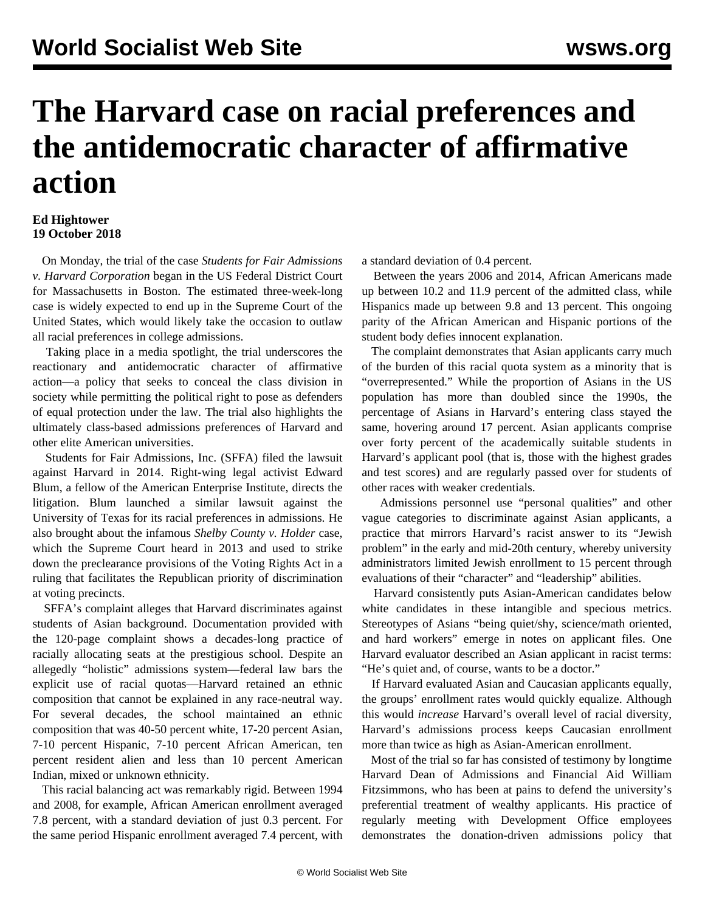## **The Harvard case on racial preferences and the antidemocratic character of affirmative action**

## **Ed Hightower 19 October 2018**

 On Monday, the trial of the case *Students for Fair Admissions v. Harvard Corporation* began in the US Federal District Court for Massachusetts in Boston. The estimated three-week-long case is widely expected to end up in the Supreme Court of the United States, which would likely take the occasion to outlaw all racial preferences in college admissions.

 Taking place in a media spotlight, the trial underscores the reactionary and antidemocratic character of affirmative action—a policy that seeks to conceal the class division in society while permitting the political right to pose as defenders of equal protection under the law. The trial also highlights the ultimately class-based admissions preferences of Harvard and other elite American universities.

 Students for Fair Admissions, Inc. (SFFA) filed the lawsuit against Harvard in 2014. Right-wing legal activist Edward Blum, a fellow of the American Enterprise Institute, directs the litigation. Blum launched a similar lawsuit against the University of Texas for its racial preferences in admissions. He also brought about the infamous *Shelby County v. Holder* case, which the Supreme Court heard in 2013 and used to strike down the preclearance provisions of the Voting Rights Act in a ruling that facilitates the Republican priority of discrimination at voting precincts.

 SFFA's complaint alleges that Harvard discriminates against students of Asian background. Documentation provided with the 120-page complaint shows a decades-long practice of racially allocating seats at the prestigious school. Despite an allegedly "holistic" admissions system—federal law bars the explicit use of racial quotas—Harvard retained an ethnic composition that cannot be explained in any race-neutral way. For several decades, the school maintained an ethnic composition that was 40-50 percent white, 17-20 percent Asian, 7-10 percent Hispanic, 7-10 percent African American, ten percent resident alien and less than 10 percent American Indian, mixed or unknown ethnicity.

 This racial balancing act was remarkably rigid. Between 1994 and 2008, for example, African American enrollment averaged 7.8 percent, with a standard deviation of just 0.3 percent. For the same period Hispanic enrollment averaged 7.4 percent, with a standard deviation of 0.4 percent.

 Between the years 2006 and 2014, African Americans made up between 10.2 and 11.9 percent of the admitted class, while Hispanics made up between 9.8 and 13 percent. This ongoing parity of the African American and Hispanic portions of the student body defies innocent explanation.

 The complaint demonstrates that Asian applicants carry much of the burden of this racial quota system as a minority that is "overrepresented." While the proportion of Asians in the US population has more than doubled since the 1990s, the percentage of Asians in Harvard's entering class stayed the same, hovering around 17 percent. Asian applicants comprise over forty percent of the academically suitable students in Harvard's applicant pool (that is, those with the highest grades and test scores) and are regularly passed over for students of other races with weaker credentials.

 Admissions personnel use "personal qualities" and other vague categories to discriminate against Asian applicants, a practice that mirrors Harvard's racist answer to its "Jewish problem" in the early and mid-20th century, whereby university administrators limited Jewish enrollment to 15 percent through evaluations of their "character" and "leadership" abilities.

 Harvard consistently puts Asian-American candidates below white candidates in these intangible and specious metrics. Stereotypes of Asians "being quiet/shy, science/math oriented, and hard workers" emerge in notes on applicant files. One Harvard evaluator described an Asian applicant in racist terms: "He's quiet and, of course, wants to be a doctor."

 If Harvard evaluated Asian and Caucasian applicants equally, the groups' enrollment rates would quickly equalize. Although this would *increase* Harvard's overall level of racial diversity, Harvard's admissions process keeps Caucasian enrollment more than twice as high as Asian-American enrollment.

 Most of the trial so far has consisted of testimony by longtime Harvard Dean of Admissions and Financial Aid William Fitzsimmons, who has been at pains to defend the university's preferential treatment of wealthy applicants. His practice of regularly meeting with Development Office employees demonstrates the donation-driven admissions policy that